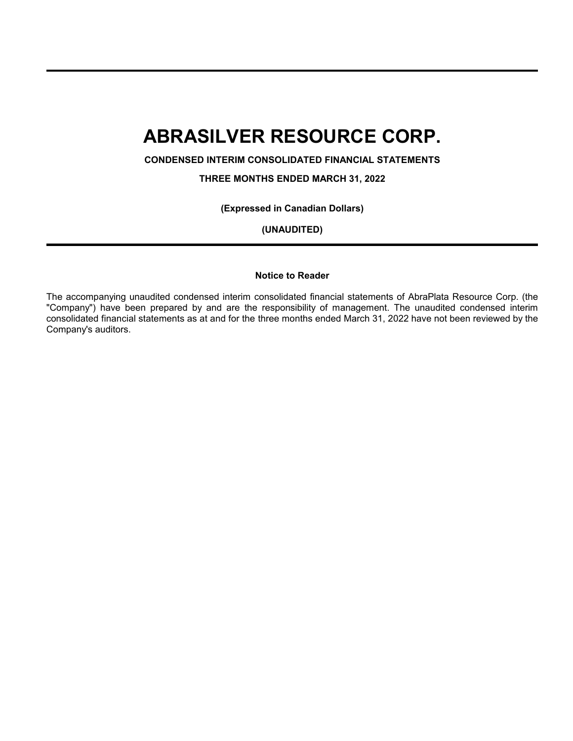**CONDENSED INTERIM CONSOLIDATED FINANCIAL STATEMENTS**

**THREE MONTHS ENDED MARCH 31, 2022**

**(Expressed in Canadian Dollars)**

**(UNAUDITED)**

### **Notice to Reader**

The accompanying unaudited condensed interim consolidated financial statements of AbraPlata Resource Corp. (the "Company") have been prepared by and are the responsibility of management. The unaudited condensed interim consolidated financial statements as at and for the three months ended March 31, 2022 have not been reviewed by the Company's auditors.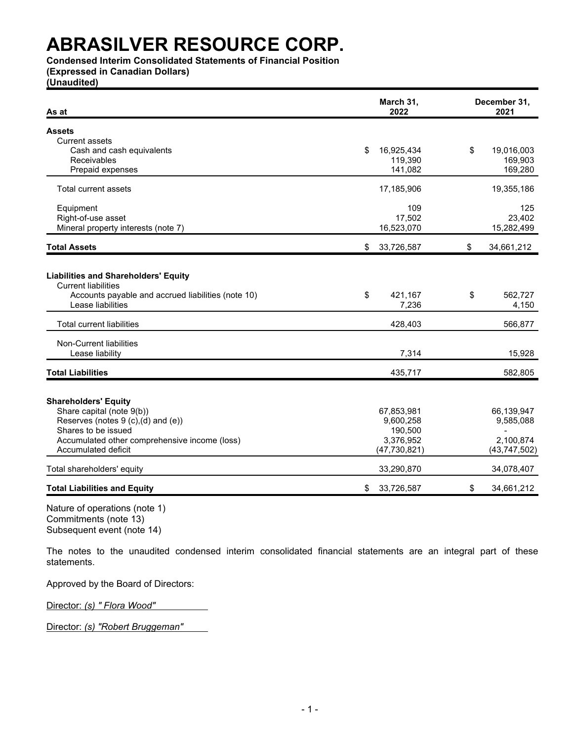**Condensed Interim Consolidated Statements of Financial Position**

**(Expressed in Canadian Dollars)**

**(Unaudited)**

| As at                                                                                                                                                | March 31,<br>2022      | December 31,<br>2021   |
|------------------------------------------------------------------------------------------------------------------------------------------------------|------------------------|------------------------|
| <b>Assets</b>                                                                                                                                        |                        |                        |
| <b>Current assets</b>                                                                                                                                |                        |                        |
| Cash and cash equivalents                                                                                                                            | 16,925,434<br>\$       | \$<br>19,016,003       |
| Receivables                                                                                                                                          | 119,390                | 169,903                |
| Prepaid expenses                                                                                                                                     | 141,082                | 169,280                |
| Total current assets                                                                                                                                 | 17,185,906             | 19,355,186             |
| Equipment                                                                                                                                            | 109                    | 125                    |
| Right-of-use asset                                                                                                                                   | 17,502                 | 23,402                 |
| Mineral property interests (note 7)                                                                                                                  | 16,523,070             | 15,282,499             |
| <b>Total Assets</b>                                                                                                                                  | 33,726,587<br>\$       | \$<br>34,661,212       |
| <b>Liabilities and Shareholders' Equity</b><br><b>Current liabilities</b><br>Accounts payable and accrued liabilities (note 10)<br>Lease liabilities | \$<br>421,167<br>7,236 | \$<br>562,727<br>4,150 |
| <b>Total current liabilities</b>                                                                                                                     | 428,403                | 566,877                |
| Non-Current liabilities                                                                                                                              |                        |                        |
| Lease liability                                                                                                                                      | 7,314                  | 15,928                 |
| <b>Total Liabilities</b>                                                                                                                             | 435,717                | 582,805                |
| <b>Shareholders' Equity</b>                                                                                                                          |                        |                        |
| Share capital (note 9(b))                                                                                                                            | 67,853,981             | 66,139,947             |
| Reserves (notes 9 (c),(d) and (e))                                                                                                                   | 9,600,258              | 9,585,088              |
| Shares to be issued                                                                                                                                  | 190,500                |                        |
| Accumulated other comprehensive income (loss)                                                                                                        | 3,376,952              | 2,100,874              |
| Accumulated deficit                                                                                                                                  | (47, 730, 821)         | (43,747,502)           |
| Total shareholders' equity                                                                                                                           | 33,290,870             | 34,078,407             |
| <b>Total Liabilities and Equity</b>                                                                                                                  | \$<br>33,726,587       | \$<br>34,661,212       |

Nature of operations (note 1) Commitments (note 13) Subsequent event (note 14)

The notes to the unaudited condensed interim consolidated financial statements are an integral part of these statements.

Approved by the Board of Directors:

Director: *(s) " Flora Wood"*

Director: *(s) "Robert Bruggeman"*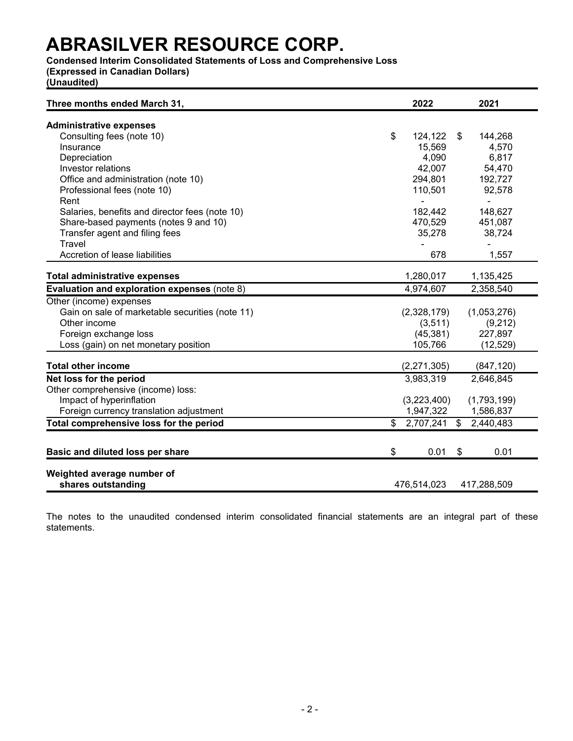### **Condensed Interim Consolidated Statements of Loss and Comprehensive Loss**

**(Expressed in Canadian Dollars)**

**(Unaudited)**

| Three months ended March 31,                     | 2022          | 2021                      |  |  |
|--------------------------------------------------|---------------|---------------------------|--|--|
| <b>Administrative expenses</b>                   |               |                           |  |  |
| Consulting fees (note 10)                        | \$<br>124,122 | 144,268<br>\$             |  |  |
| Insurance                                        | 15,569        | 4,570                     |  |  |
| Depreciation                                     | 4,090         | 6,817                     |  |  |
| Investor relations                               | 42,007        | 54,470                    |  |  |
| Office and administration (note 10)              | 294,801       | 192,727                   |  |  |
| Professional fees (note 10)                      | 110,501       | 92,578                    |  |  |
| Rent                                             |               | $\blacksquare$            |  |  |
| Salaries, benefits and director fees (note 10)   | 182,442       | 148,627                   |  |  |
| Share-based payments (notes 9 and 10)            | 470,529       | 451,087                   |  |  |
| Transfer agent and filing fees                   | 35,278        | 38,724                    |  |  |
| Travel                                           |               |                           |  |  |
| Accretion of lease liabilities                   | 678           | 1,557                     |  |  |
| <b>Total administrative expenses</b>             | 1,280,017     | 1,135,425                 |  |  |
| Evaluation and exploration expenses (note 8)     | 4,974,607     | 2,358,540                 |  |  |
| Other (income) expenses                          |               |                           |  |  |
| Gain on sale of marketable securities (note 11)  | (2,328,179)   | (1,053,276)               |  |  |
| Other income                                     | (3,511)       | (9,212)                   |  |  |
| Foreign exchange loss                            | (45, 381)     | 227,897                   |  |  |
| Loss (gain) on net monetary position             | 105,766       | (12, 529)                 |  |  |
| <b>Total other income</b>                        | (2, 271, 305) | (847, 120)                |  |  |
| Net loss for the period                          | 3,983,319     | 2,646,845                 |  |  |
| Other comprehensive (income) loss:               |               |                           |  |  |
| Impact of hyperinflation                         | (3,223,400)   | (1,793,199)               |  |  |
| Foreign currency translation adjustment          | 1,947,322     | 1,586,837                 |  |  |
| Total comprehensive loss for the period          | \$2,707,241   | $\mathbb{S}$<br>2,440,483 |  |  |
|                                                  |               |                           |  |  |
| Basic and diluted loss per share                 | \$<br>0.01    | 0.01<br>\$                |  |  |
|                                                  |               |                           |  |  |
| Weighted average number of<br>shares outstanding | 476,514,023   | 417,288,509               |  |  |

The notes to the unaudited condensed interim consolidated financial statements are an integral part of these statements.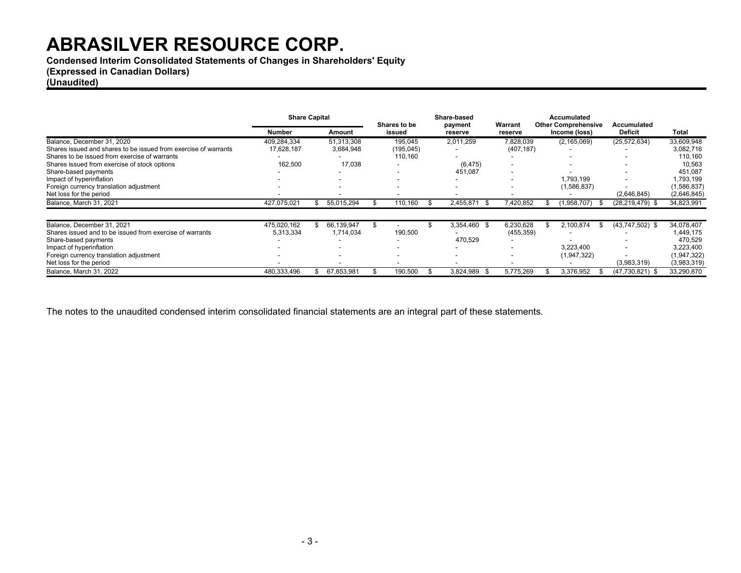**Condensed Interim Consolidated Statements of Changes in Shareholders' Equity**

**(Expressed in Canadian Dollars)**

**(Unaudited)**

|                                                                 | <b>Share Capital</b> |  |            |  |            |  |                   |            |  |               |                   |              |  |  |  |  |  |  |  |  |  |  |  |  |  |  | Shares to be |  | Share-based<br>payment | Warrant | <b>Accumulated</b><br><b>Other Comprehensive</b> |  | Accumulated |  |
|-----------------------------------------------------------------|----------------------|--|------------|--|------------|--|-------------------|------------|--|---------------|-------------------|--------------|--|--|--|--|--|--|--|--|--|--|--|--|--|--|--------------|--|------------------------|---------|--------------------------------------------------|--|-------------|--|
|                                                                 | Number               |  | Amount     |  | issued     |  | reserve           | reserve    |  | Income (loss) | <b>Deficit</b>    | <b>Total</b> |  |  |  |  |  |  |  |  |  |  |  |  |  |  |              |  |                        |         |                                                  |  |             |  |
| Balance, December 31, 2020                                      | 409,284,334          |  | 51,313,308 |  | 195,045    |  | 2,011,259         | 7,828,039  |  | (2, 165, 069) | (25, 572, 634)    | 33,609,948   |  |  |  |  |  |  |  |  |  |  |  |  |  |  |              |  |                        |         |                                                  |  |             |  |
| Shares issued and shares to be issued from exercise of warrants | 17,628,187           |  | 3,684,948  |  | (195, 045) |  |                   | (407, 187) |  |               |                   | 3,082,716    |  |  |  |  |  |  |  |  |  |  |  |  |  |  |              |  |                        |         |                                                  |  |             |  |
| Shares to be issued from exercise of warrants                   |                      |  |            |  | 110,160    |  |                   |            |  | -             |                   | 110,160      |  |  |  |  |  |  |  |  |  |  |  |  |  |  |              |  |                        |         |                                                  |  |             |  |
| Shares issued from exercise of stock options                    | 162,500              |  | 17,038     |  |            |  | (6, 475)          |            |  | -             |                   | 10,563       |  |  |  |  |  |  |  |  |  |  |  |  |  |  |              |  |                        |         |                                                  |  |             |  |
| Share-based payments                                            |                      |  |            |  |            |  | 451,087           |            |  |               |                   | 451,087      |  |  |  |  |  |  |  |  |  |  |  |  |  |  |              |  |                        |         |                                                  |  |             |  |
| Impact of hyperinflation                                        |                      |  |            |  |            |  |                   |            |  | 1,793,199     |                   | 1,793,199    |  |  |  |  |  |  |  |  |  |  |  |  |  |  |              |  |                        |         |                                                  |  |             |  |
| Foreign currency translation adjustment                         |                      |  |            |  |            |  |                   |            |  | (1,586,837)   |                   | (1,586,837)  |  |  |  |  |  |  |  |  |  |  |  |  |  |  |              |  |                        |         |                                                  |  |             |  |
| Net loss for the period                                         | -                    |  |            |  |            |  |                   |            |  |               | (2,646,845)       | (2,646,845)  |  |  |  |  |  |  |  |  |  |  |  |  |  |  |              |  |                        |         |                                                  |  |             |  |
| Balance, March 31, 2021                                         | 427,075,021          |  | 55,015,294 |  | 110,160    |  | 2,455,871<br>- 95 | 7.420.852  |  | 1,958,707)    | (28,219,479) \$   | 34,823,991   |  |  |  |  |  |  |  |  |  |  |  |  |  |  |              |  |                        |         |                                                  |  |             |  |
| Balance, December 31, 2021                                      | 475.020.162          |  | 66,139,947 |  |            |  | 3,354,460 \$      | 6,230,628  |  | 2,100,874     | (43,747,502) \$   | 34.078.407   |  |  |  |  |  |  |  |  |  |  |  |  |  |  |              |  |                        |         |                                                  |  |             |  |
| Shares issued and to be issued from exercise of warrants        | 5,313,334            |  | 1.714.034  |  | 190,500    |  |                   | (455, 359) |  |               |                   | 1,449,175    |  |  |  |  |  |  |  |  |  |  |  |  |  |  |              |  |                        |         |                                                  |  |             |  |
| Share-based payments                                            |                      |  |            |  |            |  | 470,529           |            |  |               |                   | 470.529      |  |  |  |  |  |  |  |  |  |  |  |  |  |  |              |  |                        |         |                                                  |  |             |  |
| Impact of hyperinflation                                        |                      |  |            |  |            |  |                   |            |  | 3.223.400     | -                 | 3,223,400    |  |  |  |  |  |  |  |  |  |  |  |  |  |  |              |  |                        |         |                                                  |  |             |  |
| Foreign currency translation adjustment                         |                      |  |            |  |            |  |                   |            |  | (1,947,322)   |                   | (1,947,322)  |  |  |  |  |  |  |  |  |  |  |  |  |  |  |              |  |                        |         |                                                  |  |             |  |
| Net loss for the period                                         |                      |  |            |  |            |  |                   |            |  |               | (3,983,319)       | (3,983,319)  |  |  |  |  |  |  |  |  |  |  |  |  |  |  |              |  |                        |         |                                                  |  |             |  |
| Balance, March 31, 2022                                         | 480,333,496          |  | 67,853,981 |  | 190,500    |  | 3,824,989<br>. ზ  | 5,775,269  |  | 3,376,952     | $(47,730,821)$ \$ | 33,290,870   |  |  |  |  |  |  |  |  |  |  |  |  |  |  |              |  |                        |         |                                                  |  |             |  |

The notes to the unaudited condensed interim consolidated financial statements are an integral part of these statements.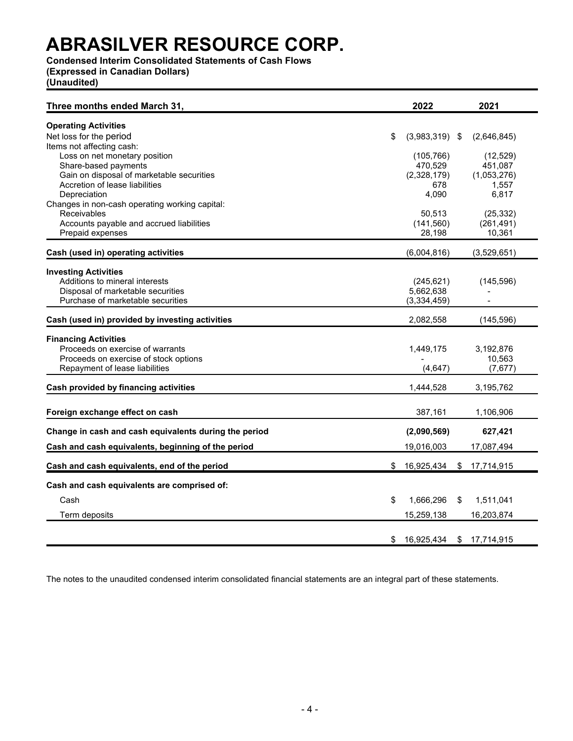### **Condensed Interim Consolidated Statements of Cash Flows**

**(Expressed in Canadian Dollars)**

**(Unaudited)**

| Three months ended March 31,                                                                                                               | 2022                                     |   | 2021                                |
|--------------------------------------------------------------------------------------------------------------------------------------------|------------------------------------------|---|-------------------------------------|
| <b>Operating Activities</b><br>Net loss for the period                                                                                     | \$<br>$(3,983,319)$ \$                   |   | (2,646,845)                         |
| Items not affecting cash:<br>Loss on net monetary position<br>Share-based payments<br>Gain on disposal of marketable securities            | (105, 766)<br>470,529<br>(2,328,179)     |   | (12, 529)<br>451,087<br>(1,053,276) |
| Accretion of lease liabilities<br>Depreciation<br>Changes in non-cash operating working capital:                                           | 678<br>4,090                             |   | 1,557<br>6,817                      |
| <b>Receivables</b><br>Accounts payable and accrued liabilities<br>Prepaid expenses                                                         | 50,513<br>(141, 560)<br>28,198           |   | (25, 332)<br>(261, 491)<br>10,361   |
| Cash (used in) operating activities                                                                                                        | (6,004,816)                              |   | (3,529,651)                         |
| <b>Investing Activities</b><br>Additions to mineral interests<br>Disposal of marketable securities<br>Purchase of marketable securities    | (245, 621)<br>5,662,638<br>(3, 334, 459) |   | (145, 596)                          |
| Cash (used in) provided by investing activities                                                                                            | 2,082,558                                |   | (145, 596)                          |
| <b>Financing Activities</b><br>Proceeds on exercise of warrants<br>Proceeds on exercise of stock options<br>Repayment of lease liabilities | 1,449,175<br>(4, 647)                    |   | 3,192,876<br>10,563<br>(7,677)      |
| Cash provided by financing activities                                                                                                      | 1,444,528                                |   | 3,195,762                           |
| Foreign exchange effect on cash                                                                                                            | 387,161                                  |   | 1,106,906                           |
| Change in cash and cash equivalents during the period<br>Cash and cash equivalents, beginning of the period                                | (2,090,569)<br>19,016,003                |   | 627,421<br>17,087,494               |
| Cash and cash equivalents, end of the period                                                                                               | \$16,925,434                             |   | \$17,714,915                        |
| Cash and cash equivalents are comprised of:                                                                                                |                                          |   |                                     |
| Cash                                                                                                                                       | \$<br>1,666,296                          | S | 1,511,041                           |
| Term deposits                                                                                                                              | 15,259,138                               |   | 16,203,874                          |
|                                                                                                                                            | \$<br>16,925,434 \$ 17,714,915           |   |                                     |

The notes to the unaudited condensed interim consolidated financial statements are an integral part of these statements.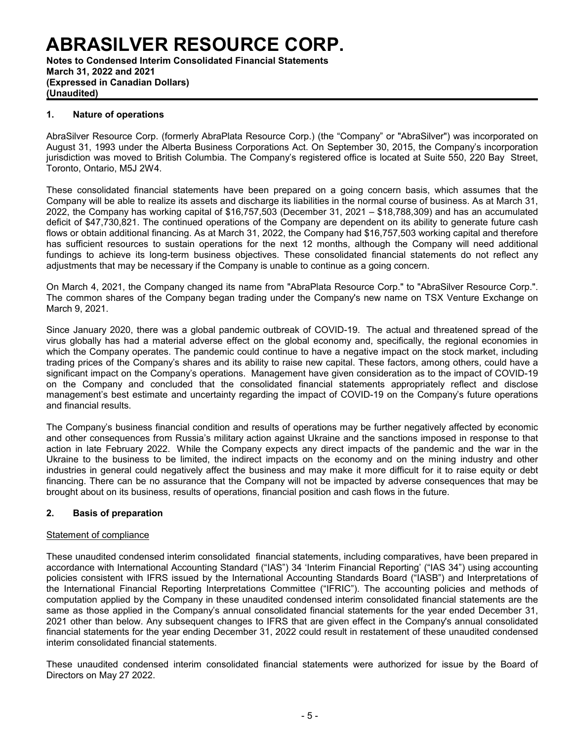**Notes to Condensed Interim Consolidated Financial Statements March 31, 2022 and 2021 (Expressed in Canadian Dollars) (Unaudited)**

### **1. Nature of operations**

AbraSilver Resource Corp. (formerly AbraPlata Resource Corp.) (the "Company" or "AbraSilver") was incorporated on August 31, 1993 under the Alberta Business Corporations Act. On September 30, 2015, the Company's incorporation jurisdiction was moved to British Columbia. The Company's registered office is located at Suite 550, 220 Bay Street, Toronto, Ontario, M5J 2W4.

These consolidated financial statements have been prepared on a going concern basis, which assumes that the Company will be able to realize its assets and discharge its liabilities in the normal course of business. As at March 31, 2022, the Company has working capital of \$16,757,503 (December 31, 2021 – \$18,788,309) and has an accumulated deficit of \$47,730,821. The continued operations of the Company are dependent on its ability to generate future cash flows or obtain additional financing. As at March 31, 2022, the Company had \$16,757,503 working capital and therefore has sufficient resources to sustain operations for the next 12 months, although the Company will need additional fundings to achieve its long-term business objectives. These consolidated financial statements do not reflect any adjustments that may be necessary if the Company is unable to continue as a going concern.

On March 4, 2021, the Company changed its name from "AbraPlata Resource Corp." to "AbraSilver Resource Corp.". The common shares of the Company began trading under the Company's new name on TSX Venture Exchange on March 9, 2021.

Since January 2020, there was a global pandemic outbreak of COVID-19. The actual and threatened spread of the virus globally has had a material adverse effect on the global economy and, specifically, the regional economies in which the Company operates. The pandemic could continue to have a negative impact on the stock market, including trading prices of the Company's shares and its ability to raise new capital. These factors, among others, could have a significant impact on the Company's operations. Management have given consideration as to the impact of COVID-19 on the Company and concluded that the consolidated financial statements appropriately reflect and disclose management's best estimate and uncertainty regarding the impact of COVID-19 on the Company's future operations and financial results.

The Company's business financial condition and results of operations may be further negatively affected by economic and other consequences from Russia's military action against Ukraine and the sanctions imposed in response to that action in late February 2022. While the Company expects any direct impacts of the pandemic and the war in the Ukraine to the business to be limited, the indirect impacts on the economy and on the mining industry and other industries in general could negatively affect the business and may make it more difficult for it to raise equity or debt financing. There can be no assurance that the Company will not be impacted by adverse consequences that may be brought about on its business, results of operations, financial position and cash flows in the future.

### **2. Basis of preparation**

### Statement of compliance

These unaudited condensed interim consolidated financial statements, including comparatives, have been prepared in accordance with International Accounting Standard ("IAS") 34 'Interim Financial Reporting' ("IAS 34") using accounting policies consistent with IFRS issued by the International Accounting Standards Board ("IASB") and Interpretations of the International Financial Reporting Interpretations Committee ("IFRIC"). The accounting policies and methods of computation applied by the Company in these unaudited condensed interim consolidated financial statements are the same as those applied in the Company's annual consolidated financial statements for the year ended December 31, 2021 other than below. Any subsequent changes to IFRS that are given effect in the Company's annual consolidated financial statements for the year ending December 31, 2022 could result in restatement of these unaudited condensed interim consolidated financial statements.

These unaudited condensed interim consolidated financial statements were authorized for issue by the Board of Directors on May 27 2022.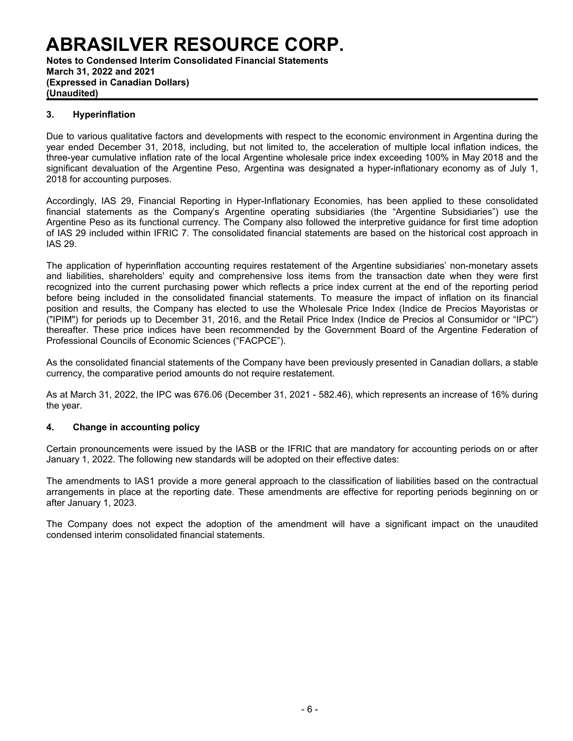**Notes to Condensed Interim Consolidated Financial Statements March 31, 2022 and 2021 (Expressed in Canadian Dollars) (Unaudited)**

### **3. Hyperinflation**

Due to various qualitative factors and developments with respect to the economic environment in Argentina during the year ended December 31, 2018, including, but not limited to, the acceleration of multiple local inflation indices, the three-year cumulative inflation rate of the local Argentine wholesale price index exceeding 100% in May 2018 and the significant devaluation of the Argentine Peso, Argentina was designated a hyper-inflationary economy as of July 1, 2018 for accounting purposes.

Accordingly, IAS 29, Financial Reporting in Hyper-Inflationary Economies, has been applied to these consolidated financial statements as the Company's Argentine operating subsidiaries (the "Argentine Subsidiaries") use the Argentine Peso as its functional currency. The Company also followed the interpretive guidance for first time adoption of IAS 29 included within IFRIC 7. The consolidated financial statements are based on the historical cost approach in IAS 29.

The application of hyperinflation accounting requires restatement of the Argentine subsidiaries' non-monetary assets and liabilities, shareholders' equity and comprehensive loss items from the transaction date when they were first recognized into the current purchasing power which reflects a price index current at the end of the reporting period before being included in the consolidated financial statements. To measure the impact of inflation on its financial position and results, the Company has elected to use the Wholesale Price Index (Indice de Precios Mayoristas or ("IPIM") for periods up to December 31, 2016, and the Retail Price Index (Indice de Precios al Consumidor or "IPC") thereafter. These price indices have been recommended by the Government Board of the Argentine Federation of Professional Councils of Economic Sciences ("FACPCE").

As the consolidated financial statements of the Company have been previously presented in Canadian dollars, a stable currency, the comparative period amounts do not require restatement.

As at March 31, 2022, the IPC was 676.06 (December 31, 2021 - 582.46), which represents an increase of 16% during the year.

### **4. Change in accounting policy**

Certain pronouncements were issued by the IASB or the IFRIC that are mandatory for accounting periods on or after January 1, 2022. The following new standards will be adopted on their effective dates:

The amendments to IAS1 provide a more general approach to the classification of liabilities based on the contractual arrangements in place at the reporting date. These amendments are effective for reporting periods beginning on or after January 1, 2023.

The Company does not expect the adoption of the amendment will have a significant impact on the unaudited condensed interim consolidated financial statements.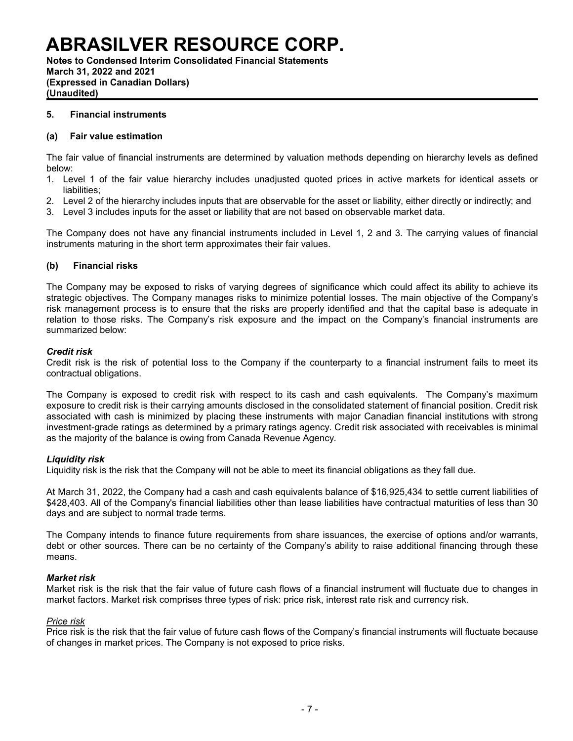**Notes to Condensed Interim Consolidated Financial Statements March 31, 2022 and 2021 (Expressed in Canadian Dollars) (Unaudited)**

### **5. Financial instruments**

### **(a) Fair value estimation**

The fair value of financial instruments are determined by valuation methods depending on hierarchy levels as defined below:

- 1. Level 1 of the fair value hierarchy includes unadjusted quoted prices in active markets for identical assets or liabilities;
- 2. Level 2 of the hierarchy includes inputs that are observable for the asset or liability, either directly or indirectly; and
- 3. Level 3 includes inputs for the asset or liability that are not based on observable market data.

The Company does not have any financial instruments included in Level 1, 2 and 3. The carrying values of financial instruments maturing in the short term approximates their fair values.

### **(b) Financial risks**

The Company may be exposed to risks of varying degrees of significance which could affect its ability to achieve its strategic objectives. The Company manages risks to minimize potential losses. The main objective of the Company's risk management process is to ensure that the risks are properly identified and that the capital base is adequate in relation to those risks. The Company's risk exposure and the impact on the Company's financial instruments are summarized below:

### *Credit risk*

Credit risk is the risk of potential loss to the Company if the counterparty to a financial instrument fails to meet its contractual obligations.

The Company is exposed to credit risk with respect to its cash and cash equivalents. The Company's maximum exposure to credit risk is their carrying amounts disclosed in the consolidated statement of financial position. Credit risk associated with cash is minimized by placing these instruments with major Canadian financial institutions with strong investment-grade ratings as determined by a primary ratings agency. Credit risk associated with receivables is minimal as the majority of the balance is owing from Canada Revenue Agency.

### *Liquidity risk*

Liquidity risk is the risk that the Company will not be able to meet its financial obligations as they fall due.

At March 31, 2022, the Company had a cash and cash equivalents balance of \$16,925,434 to settle current liabilities of \$428,403. All of the Company's financial liabilities other than lease liabilities have contractual maturities of less than 30 days and are subject to normal trade terms.

The Company intends to finance future requirements from share issuances, the exercise of options and/or warrants, debt or other sources. There can be no certainty of the Company's ability to raise additional financing through these means.

### *Market risk*

Market risk is the risk that the fair value of future cash flows of a financial instrument will fluctuate due to changes in market factors. Market risk comprises three types of risk: price risk, interest rate risk and currency risk.

### *Price risk*

Price risk is the risk that the fair value of future cash flows of the Company's financial instruments will fluctuate because of changes in market prices. The Company is not exposed to price risks.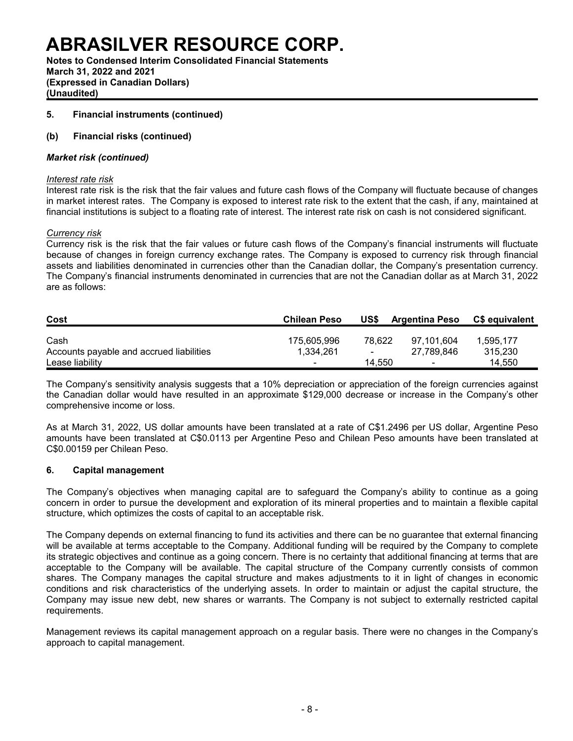**Notes to Condensed Interim Consolidated Financial Statements March 31, 2022 and 2021 (Expressed in Canadian Dollars) (Unaudited)**

### **5. Financial instruments (continued)**

### **(b) Financial risks (continued)**

### *Market risk (continued)*

#### *Interest rate risk*

Interest rate risk is the risk that the fair values and future cash flows of the Company will fluctuate because of changes in market interest rates. The Company is exposed to interest rate risk to the extent that the cash, if any, maintained at financial institutions is subject to a floating rate of interest. The interest rate risk on cash is not considered significant.

#### *Currency risk*

Currency risk is the risk that the fair values or future cash flows of the Company's financial instruments will fluctuate because of changes in foreign currency exchange rates. The Company is exposed to currency risk through financial assets and liabilities denominated in currencies other than the Canadian dollar, the Company's presentation currency. The Company's financial instruments denominated in currencies that are not the Canadian dollar as at March 31, 2022 are as follows:

| Cost                                     | <b>Chilean Peso</b>      | US\$   | <b>Argentina Peso</b>    | <b>CS equivalent</b> |
|------------------------------------------|--------------------------|--------|--------------------------|----------------------|
| Cash                                     | 175.605.996              | 78.622 | 97.101.604               | 1.595.177            |
| Accounts payable and accrued liabilities | 1.334.261                | $\sim$ | 27.789.846               | 315.230              |
| Lease liability                          | $\overline{\phantom{0}}$ | 14.550 | $\overline{\phantom{0}}$ | 14.550               |

The Company's sensitivity analysis suggests that a 10% depreciation or appreciation of the foreign currencies against the Canadian dollar would have resulted in an approximate \$129,000 decrease or increase in the Company's other comprehensive income or loss.

As at March 31, 2022, US dollar amounts have been translated at a rate of C\$1.2496 per US dollar, Argentine Peso amounts have been translated at C\$0.0113 per Argentine Peso and Chilean Peso amounts have been translated at C\$0.00159 per Chilean Peso.

### **6. Capital management**

The Company's objectives when managing capital are to safeguard the Company's ability to continue as a going concern in order to pursue the development and exploration of its mineral properties and to maintain a flexible capital structure, which optimizes the costs of capital to an acceptable risk.

The Company depends on external financing to fund its activities and there can be no guarantee that external financing will be available at terms acceptable to the Company. Additional funding will be required by the Company to complete its strategic objectives and continue as a going concern. There is no certainty that additional financing at terms that are acceptable to the Company will be available. The capital structure of the Company currently consists of common shares. The Company manages the capital structure and makes adjustments to it in light of changes in economic conditions and risk characteristics of the underlying assets. In order to maintain or adjust the capital structure, the Company may issue new debt, new shares or warrants. The Company is not subject to externally restricted capital requirements.

Management reviews its capital management approach on a regular basis. There were no changes in the Company's approach to capital management.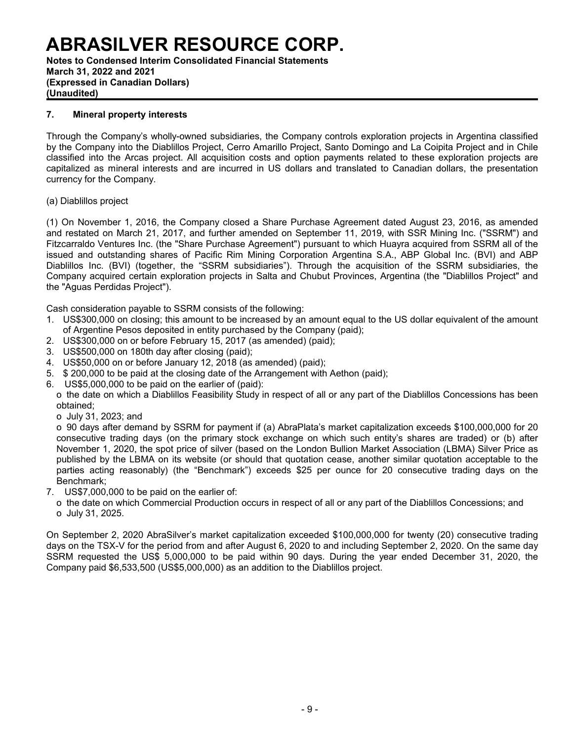**Notes to Condensed Interim Consolidated Financial Statements March 31, 2022 and 2021 (Expressed in Canadian Dollars) (Unaudited)**

### **7. Mineral property interests**

Through the Company's wholly-owned subsidiaries, the Company controls exploration projects in Argentina classified by the Company into the Diablillos Project, Cerro Amarillo Project, Santo Domingo and La Coipita Project and in Chile classified into the Arcas project. All acquisition costs and option payments related to these exploration projects are capitalized as mineral interests and are incurred in US dollars and translated to Canadian dollars, the presentation currency for the Company.

### (a) Diablillos project

(1) On November 1, 2016, the Company closed a Share Purchase Agreement dated August 23, 2016, as amended and restated on March 21, 2017, and further amended on September 11, 2019, with SSR Mining Inc. ("SSRM") and Fitzcarraldo Ventures Inc. (the "Share Purchase Agreement") pursuant to which Huayra acquired from SSRM all of the issued and outstanding shares of Pacific Rim Mining Corporation Argentina S.A., ABP Global Inc. (BVI) and ABP Diablillos Inc. (BVI) (together, the "SSRM subsidiaries"). Through the acquisition of the SSRM subsidiaries, the Company acquired certain exploration projects in Salta and Chubut Provinces, Argentina (the "Diablillos Project" and the "Aguas Perdidas Project").

Cash consideration payable to SSRM consists of the following:

- 1. US\$300,000 on closing; this amount to be increased by an amount equal to the US dollar equivalent of the amount of Argentine Pesos deposited in entity purchased by the Company (paid);
- 2. US\$300,000 on or before February 15, 2017 (as amended) (paid);
- 3. US\$500,000 on 180th day after closing (paid);
- 4. US\$50,000 on or before January 12, 2018 (as amended) (paid);
- 5. \$ 200,000 to be paid at the closing date of the Arrangement with Aethon (paid);
- 6. US\$5,000,000 to be paid on the earlier of (paid):
- o the date on which a Diablillos Feasibility Study in respect of all or any part of the Diablillos Concessions has been obtained;
	- o July 31, 2023; and

o 90 days after demand by SSRM for payment if (a) AbraPlata's market capitalization exceeds \$100,000,000 for 20 consecutive trading days (on the primary stock exchange on which such entity's shares are traded) or (b) after November 1, 2020, the spot price of silver (based on the London Bullion Market Association (LBMA) Silver Price as published by the LBMA on its website (or should that quotation cease, another similar quotation acceptable to the parties acting reasonably) (the "Benchmark") exceeds \$25 per ounce for 20 consecutive trading days on the Benchmark;

- 7. US\$7,000,000 to be paid on the earlier of:
	- o the date on which Commercial Production occurs in respect of all or any part of the Diablillos Concessions; and o July 31, 2025.

On September 2, 2020 AbraSilver's market capitalization exceeded \$100,000,000 for twenty (20) consecutive trading days on the TSX-V for the period from and after August 6, 2020 to and including September 2, 2020. On the same day SSRM requested the US\$ 5,000,000 to be paid within 90 days. During the year ended December 31, 2020, the Company paid \$6,533,500 (US\$5,000,000) as an addition to the Diablillos project.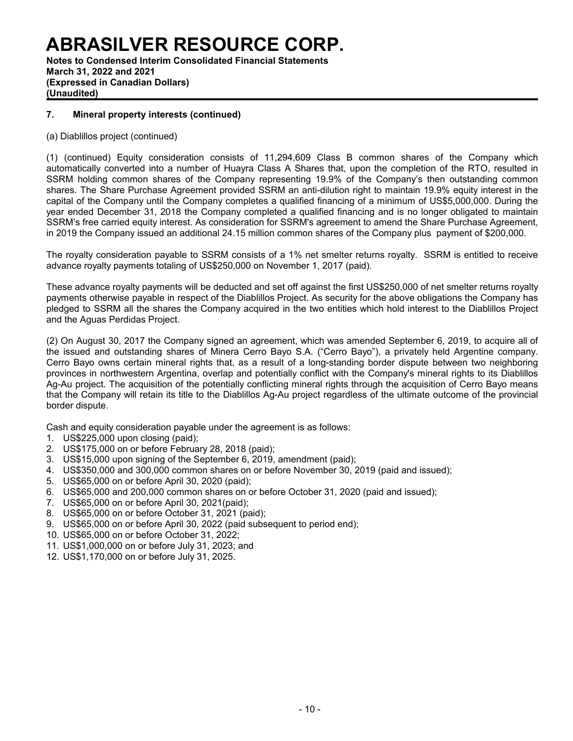**Notes to Condensed Interim Consolidated Financial Statements March 31, 2022 and 2021 (Expressed in Canadian Dollars) (Unaudited)**

### **7. Mineral property interests (continued)**

(a) Diablillos project (continued)

(1) (continued) Equity consideration consists of 11,294,609 Class B common shares of the Company which automatically converted into a number of Huayra Class A Shares that, upon the completion of the RTO, resulted in SSRM holding common shares of the Company representing 19.9% of the Company's then outstanding common shares. The Share Purchase Agreement provided SSRM an anti-dilution right to maintain 19.9% equity interest in the capital of the Company until the Company completes a qualified financing of a minimum of US\$5,000,000. During the year ended December 31, 2018 the Company completed a qualified financing and is no longer obligated to maintain SSRM's free carried equity interest. As consideration for SSRM's agreement to amend the Share Purchase Agreement, in 2019 the Company issued an additional 24.15 million common shares of the Company plus payment of \$200,000.

The royalty consideration payable to SSRM consists of a 1% net smelter returns royalty. SSRM is entitled to receive advance royalty payments totaling of US\$250,000 on November 1, 2017 (paid).

These advance royalty payments will be deducted and set off against the first US\$250,000 of net smelter returns royalty payments otherwise payable in respect of the Diablillos Project. As security for the above obligations the Company has pledged to SSRM all the shares the Company acquired in the two entities which hold interest to the Diablillos Project and the Aguas Perdidas Project.

(2) On August 30, 2017 the Company signed an agreement, which was amended September 6, 2019, to acquire all of the issued and outstanding shares of Minera Cerro Bayo S.A. ("Cerro Bayo"), a privately held Argentine company. Cerro Bayo owns certain mineral rights that, as a result of a long-standing border dispute between two neighboring provinces in northwestern Argentina, overlap and potentially conflict with the Company's mineral rights to its Diablillos Ag-Au project. The acquisition of the potentially conflicting mineral rights through the acquisition of Cerro Bayo means that the Company will retain its title to the Diablillos Ag-Au project regardless of the ultimate outcome of the provincial border dispute.

Cash and equity consideration payable under the agreement is as follows:

- 1. US\$225,000 upon closing (paid);
- 2. US\$175,000 on or before February 28, 2018 (paid);
- 3. US\$15,000 upon signing of the September 6, 2019, amendment (paid);
- 4. US\$350,000 and 300,000 common shares on or before November 30, 2019 (paid and issued);
- 5. US\$65,000 on or before April 30, 2020 (paid);
- 6. US\$65,000 and 200,000 common shares on or before October 31, 2020 (paid and issued);
- 7. US\$65,000 on or before April 30, 2021(paid);
- 8. US\$65,000 on or before October 31, 2021 (paid);
- 9. US\$65,000 on or before April 30, 2022 (paid subsequent to period end);
- 10. US\$65,000 on or before October 31, 2022;
- 11. US\$1,000,000 on or before July 31, 2023; and
- 12. US\$1,170,000 on or before July 31, 2025.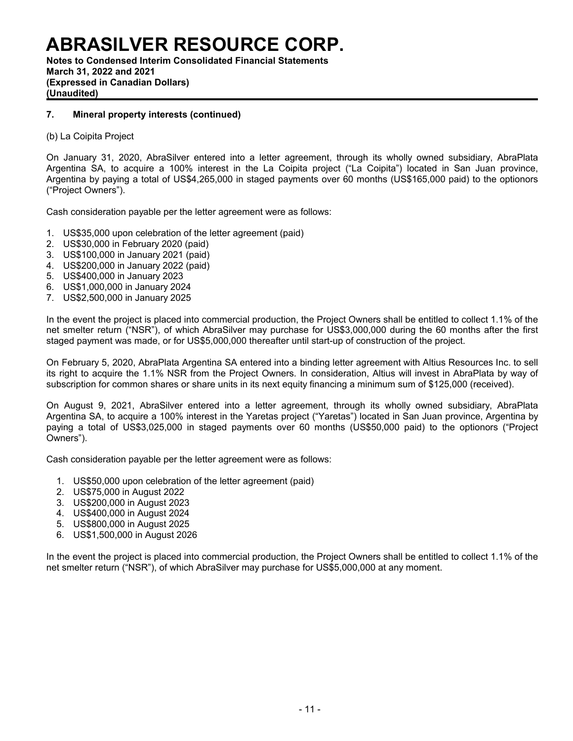**Notes to Condensed Interim Consolidated Financial Statements March 31, 2022 and 2021 (Expressed in Canadian Dollars) (Unaudited)**

### **7. Mineral property interests (continued)**

(b) La Coipita Project

On January 31, 2020, AbraSilver entered into a letter agreement, through its wholly owned subsidiary, AbraPlata Argentina SA, to acquire a 100% interest in the La Coipita project ("La Coipita") located in San Juan province, Argentina by paying a total of US\$4,265,000 in staged payments over 60 months (US\$165,000 paid) to the optionors ("Project Owners").

Cash consideration payable per the letter agreement were as follows:

- 1. US\$35,000 upon celebration of the letter agreement (paid)
- 2. US\$30,000 in February 2020 (paid)
- 3. US\$100,000 in January 2021 (paid)
- 4. US\$200,000 in January 2022 (paid)
- 5. US\$400,000 in January 2023
- 6. US\$1,000,000 in January 2024
- 7. US\$2,500,000 in January 2025

In the event the project is placed into commercial production, the Project Owners shall be entitled to collect 1.1% of the net smelter return ("NSR"), of which AbraSilver may purchase for US\$3,000,000 during the 60 months after the first staged payment was made, or for US\$5,000,000 thereafter until start-up of construction of the project.

On February 5, 2020, AbraPlata Argentina SA entered into a binding letter agreement with Altius Resources Inc. to sell its right to acquire the 1.1% NSR from the Project Owners. In consideration, Altius will invest in AbraPlata by way of subscription for common shares or share units in its next equity financing a minimum sum of \$125,000 (received).

On August 9, 2021, AbraSilver entered into a letter agreement, through its wholly owned subsidiary, AbraPlata Argentina SA, to acquire a 100% interest in the Yaretas project ("Yaretas") located in San Juan province, Argentina by paying a total of US\$3,025,000 in staged payments over 60 months (US\$50,000 paid) to the optionors ("Project Owners").

Cash consideration payable per the letter agreement were as follows:

- 1. US\$50,000 upon celebration of the letter agreement (paid)
- 2. US\$75,000 in August 2022
- 3. US\$200,000 in August 2023
- 4. US\$400,000 in August 2024
- 5. US\$800,000 in August 2025
- 6. US\$1,500,000 in August 2026

In the event the project is placed into commercial production, the Project Owners shall be entitled to collect 1.1% of the net smelter return ("NSR"), of which AbraSilver may purchase for US\$5,000,000 at any moment.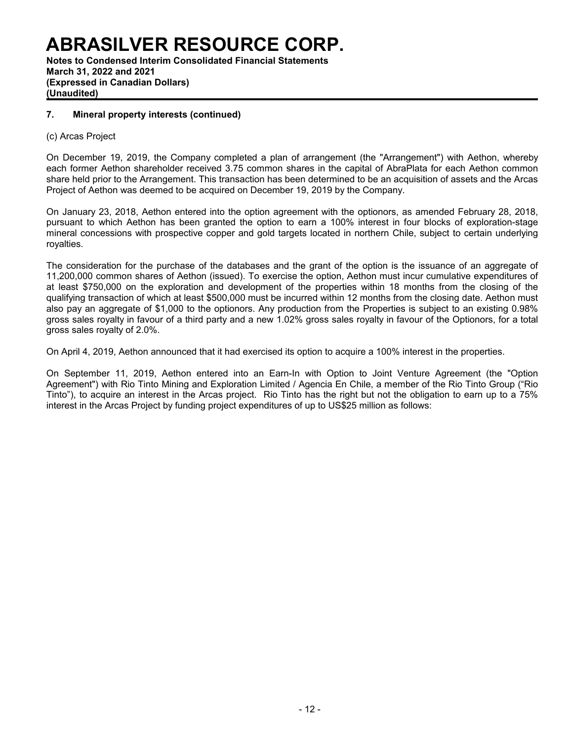**Notes to Condensed Interim Consolidated Financial Statements March 31, 2022 and 2021 (Expressed in Canadian Dollars) (Unaudited)**

### **7. Mineral property interests (continued)**

### (c) Arcas Project

On December 19, 2019, the Company completed a plan of arrangement (the "Arrangement") with Aethon, whereby each former Aethon shareholder received 3.75 common shares in the capital of AbraPlata for each Aethon common share held prior to the Arrangement. This transaction has been determined to be an acquisition of assets and the Arcas Project of Aethon was deemed to be acquired on December 19, 2019 by the Company.

On January 23, 2018, Aethon entered into the option agreement with the optionors, as amended February 28, 2018, pursuant to which Aethon has been granted the option to earn a 100% interest in four blocks of exploration-stage mineral concessions with prospective copper and gold targets located in northern Chile, subject to certain underlying royalties.

The consideration for the purchase of the databases and the grant of the option is the issuance of an aggregate of 11,200,000 common shares of Aethon (issued). To exercise the option, Aethon must incur cumulative expenditures of at least \$750,000 on the exploration and development of the properties within 18 months from the closing of the qualifying transaction of which at least \$500,000 must be incurred within 12 months from the closing date. Aethon must also pay an aggregate of \$1,000 to the optionors. Any production from the Properties is subject to an existing 0.98% gross sales royalty in favour of a third party and a new 1.02% gross sales royalty in favour of the Optionors, for a total gross sales royalty of 2.0%.

On April 4, 2019, Aethon announced that it had exercised its option to acquire a 100% interest in the properties.

On September 11, 2019, Aethon entered into an Earn-In with Option to Joint Venture Agreement (the "Option Agreement") with Rio Tinto Mining and Exploration Limited / Agencia En Chile, a member of the Rio Tinto Group ("Rio Tinto"), to acquire an interest in the Arcas project. Rio Tinto has the right but not the obligation to earn up to a 75% interest in the Arcas Project by funding project expenditures of up to US\$25 million as follows: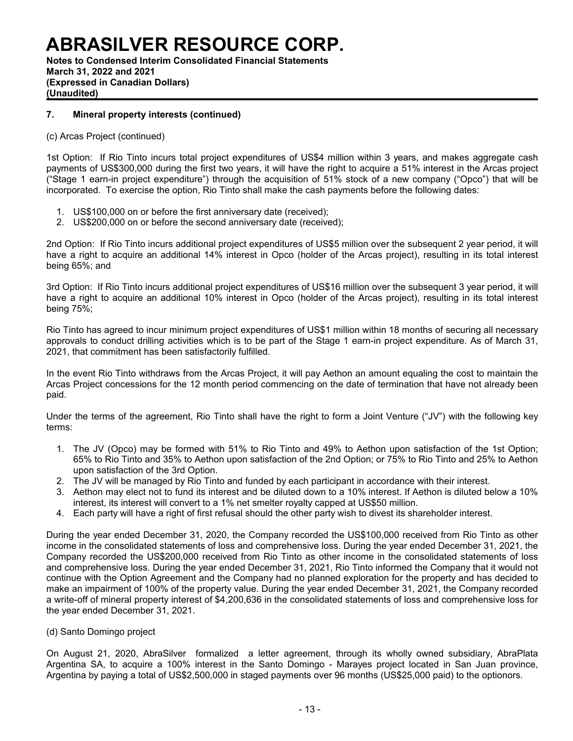**Notes to Condensed Interim Consolidated Financial Statements March 31, 2022 and 2021 (Expressed in Canadian Dollars) (Unaudited)**

### **7. Mineral property interests (continued)**

### (c) Arcas Project (continued)

1st Option: If Rio Tinto incurs total project expenditures of US\$4 million within 3 years, and makes aggregate cash payments of US\$300,000 during the first two years, it will have the right to acquire a 51% interest in the Arcas project ("Stage 1 earn-in project expenditure") through the acquisition of 51% stock of a new company ("Opco") that will be incorporated. To exercise the option, Rio Tinto shall make the cash payments before the following dates:

- 1. US\$100,000 on or before the first anniversary date (received);
- 2. US\$200,000 on or before the second anniversary date (received);

2nd Option: If Rio Tinto incurs additional project expenditures of US\$5 million over the subsequent 2 year period, it will have a right to acquire an additional 14% interest in Opco (holder of the Arcas project), resulting in its total interest being 65%; and

3rd Option: If Rio Tinto incurs additional project expenditures of US\$16 million over the subsequent 3 year period, it will have a right to acquire an additional 10% interest in Opco (holder of the Arcas project), resulting in its total interest being 75%;

Rio Tinto has agreed to incur minimum project expenditures of US\$1 million within 18 months of securing all necessary approvals to conduct drilling activities which is to be part of the Stage 1 earn-in project expenditure. As of March 31, 2021, that commitment has been satisfactorily fulfilled.

In the event Rio Tinto withdraws from the Arcas Project, it will pay Aethon an amount equaling the cost to maintain the Arcas Project concessions for the 12 month period commencing on the date of termination that have not already been paid.

Under the terms of the agreement, Rio Tinto shall have the right to form a Joint Venture ("JV") with the following key terms:

- 1. The JV (Opco) may be formed with 51% to Rio Tinto and 49% to Aethon upon satisfaction of the 1st Option; 65% to Rio Tinto and 35% to Aethon upon satisfaction of the 2nd Option; or 75% to Rio Tinto and 25% to Aethon upon satisfaction of the 3rd Option.
- 2. The JV will be managed by Rio Tinto and funded by each participant in accordance with their interest.
- 3. Aethon may elect not to fund its interest and be diluted down to a 10% interest. If Aethon is diluted below a 10% interest, its interest will convert to a 1% net smelter royalty capped at US\$50 million.
- 4. Each party will have a right of first refusal should the other party wish to divest its shareholder interest.

During the year ended December 31, 2020, the Company recorded the US\$100,000 received from Rio Tinto as other income in the consolidated statements of loss and comprehensive loss. During the year ended December 31, 2021, the Company recorded the US\$200,000 received from Rio Tinto as other income in the consolidated statements of loss and comprehensive loss. During the year ended December 31, 2021, Rio Tinto informed the Company that it would not continue with the Option Agreement and the Company had no planned exploration for the property and has decided to make an impairment of 100% of the property value. During the year ended December 31, 2021, the Company recorded a write-off of mineral property interest of \$4,200,636 in the consolidated statements of loss and comprehensive loss for the year ended December 31, 2021.

### (d) Santo Domingo project

On August 21, 2020, AbraSilver formalized a letter agreement, through its wholly owned subsidiary, AbraPlata Argentina SA, to acquire a 100% interest in the Santo Domingo - Marayes project located in San Juan province, Argentina by paying a total of US\$2,500,000 in staged payments over 96 months (US\$25,000 paid) to the optionors.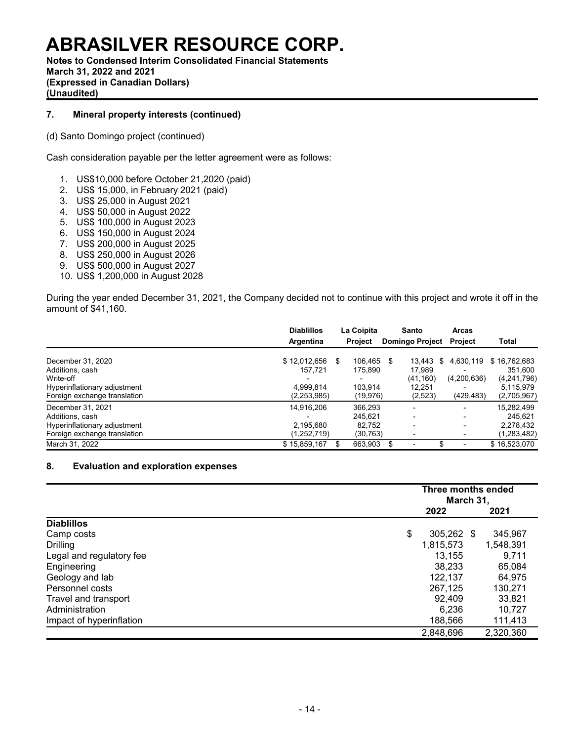**Notes to Condensed Interim Consolidated Financial Statements March 31, 2022 and 2021 (Expressed in Canadian Dollars) (Unaudited)**

### **7. Mineral property interests (continued)**

(d) Santo Domingo project (continued)

Cash consideration payable per the letter agreement were as follows:

- 1. US\$10,000 before October 21,2020 (paid)
- 2. US\$ 15,000, in February 2021 (paid)
- 3. US\$ 25,000 in August 2021
- 4. US\$ 50,000 in August 2022
- 5. US\$ 100,000 in August 2023
- 6. US\$ 150,000 in August 2024
- 7. US\$ 200,000 in August 2025
- 8. US\$ 250,000 in August 2026
- 9. US\$ 500,000 in August 2027
- 10. US\$ 1,200,000 in August 2028

During the year ended December 31, 2021, the Company decided not to continue with this project and wrote it off in the amount of \$41,160.

|                                                                                                                        | <b>Diablillos</b><br>Argentina                         | La Coipita<br><b>Project</b>                         | Santo<br><b>Domingo Project</b>                          | <b>Arcas</b><br><b>Project</b>                                                | Total                                                              |
|------------------------------------------------------------------------------------------------------------------------|--------------------------------------------------------|------------------------------------------------------|----------------------------------------------------------|-------------------------------------------------------------------------------|--------------------------------------------------------------------|
| December 31, 2020<br>Additions, cash<br>Write-off<br>Hyperinflationary adjustment<br>Foreign exchange translation      | \$12.012.656<br>157.721<br>4.999.814<br>(2,253,985)    | \$<br>106.465<br>175.890<br>103.914<br>(19, 976)     | \$<br>13.443<br>17.989<br>(41, 160)<br>12.251<br>(2,523) | 4.630.119<br>\$<br>$\overline{\phantom{a}}$<br>(4,200,636)<br>-<br>(429, 483) | \$16,762,683<br>351.600<br>(4,241,796)<br>5,115,979<br>(2,705,967) |
| December 31, 2021<br>Additions, cash<br>Hyperinflationary adjustment<br>Foreign exchange translation<br>March 31, 2022 | 14.916.206<br>2.195.680<br>(1,252,719)<br>\$15,859,167 | 366.293<br>245.621<br>82.752<br>(30, 763)<br>663.903 | -                                                        | $\overline{\phantom{0}}$<br>-<br>$\overline{\phantom{0}}$<br>-<br>-           | 15,282,499<br>245.621<br>2.278.432<br>(1,283,482)<br>\$16,523,070  |

### **8. Evaluation and exploration expenses**

|                          |                  | Three months ended<br>March 31, |           |  |  |
|--------------------------|------------------|---------------------------------|-----------|--|--|
|                          | 2022             |                                 | 2021      |  |  |
| <b>Diablillos</b>        |                  |                                 |           |  |  |
| Camp costs               | 305,262 \$<br>\$ |                                 | 345,967   |  |  |
| Drilling                 | 1,815,573        |                                 | 1,548,391 |  |  |
| Legal and regulatory fee | 13,155           |                                 | 9.711     |  |  |
| Engineering              | 38,233           |                                 | 65,084    |  |  |
| Geology and lab          | 122,137          |                                 | 64,975    |  |  |
| Personnel costs          | 267.125          |                                 | 130,271   |  |  |
| Travel and transport     | 92,409           |                                 | 33,821    |  |  |
| Administration           | 6.236            |                                 | 10,727    |  |  |
| Impact of hyperinflation | 188,566          |                                 | 111,413   |  |  |
|                          | 2,848,696        |                                 | 2,320,360 |  |  |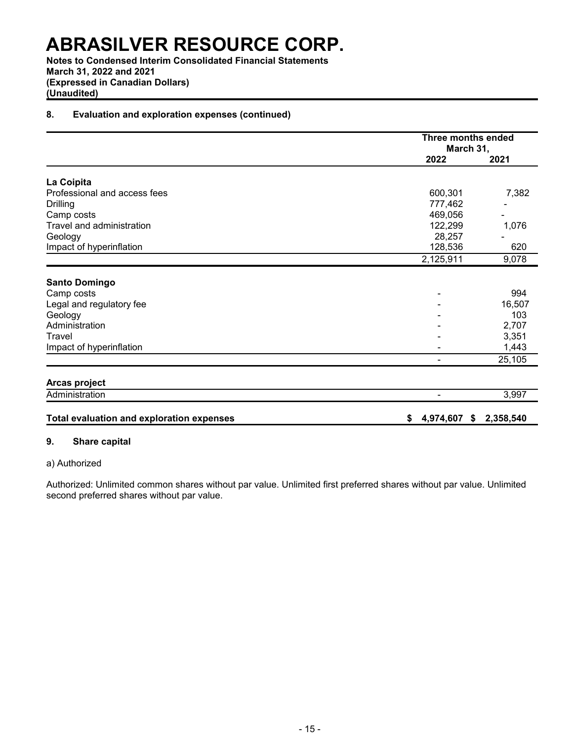**Notes to Condensed Interim Consolidated Financial Statements March 31, 2022 and 2021 (Expressed in Canadian Dollars) (Unaudited)**

### **8. Evaluation and exploration expenses (continued)**

|                                                  | <b>Three months ended</b><br>March 31, |           |
|--------------------------------------------------|----------------------------------------|-----------|
|                                                  | 2022                                   | 2021      |
| La Coipita                                       |                                        |           |
| Professional and access fees                     | 600,301                                | 7,382     |
| <b>Drilling</b>                                  | 777,462                                |           |
| Camp costs                                       | 469,056                                |           |
| Travel and administration                        | 122,299                                | 1,076     |
| Geology                                          | 28,257                                 |           |
| Impact of hyperinflation                         | 128,536                                | 620       |
|                                                  | 2,125,911                              | 9,078     |
| <b>Santo Domingo</b>                             |                                        |           |
| Camp costs                                       |                                        | 994       |
| Legal and regulatory fee                         |                                        | 16,507    |
| Geology                                          |                                        | 103       |
| Administration                                   |                                        | 2,707     |
| Travel                                           |                                        | 3,351     |
| Impact of hyperinflation                         |                                        | 1,443     |
|                                                  |                                        | 25,105    |
| Arcas project                                    |                                        |           |
| Administration                                   |                                        | 3,997     |
| <b>Total evaluation and exploration expenses</b> | 4,974,607<br>S<br>\$                   | 2,358,540 |

### **9. Share capital**

### a) Authorized

Authorized: Unlimited common shares without par value. Unlimited first preferred shares without par value. Unlimited second preferred shares without par value.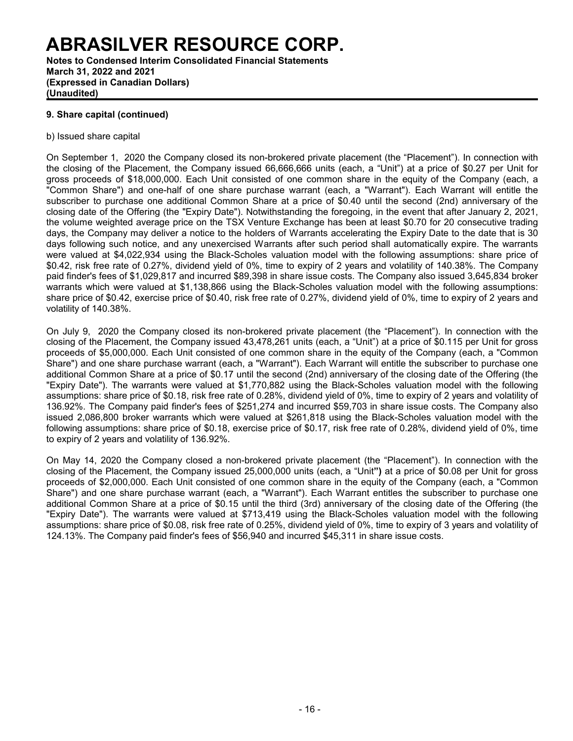**Notes to Condensed Interim Consolidated Financial Statements March 31, 2022 and 2021 (Expressed in Canadian Dollars) (Unaudited)**

### **9. Share capital (continued)**

### b) Issued share capital

On September 1, 2020 the Company closed its non-brokered private placement (the "Placement"). In connection with the closing of the Placement, the Company issued 66,666,666 units (each, a "Unit") at a price of \$0.27 per Unit for gross proceeds of \$18,000,000. Each Unit consisted of one common share in the equity of the Company (each, a "Common Share") and one-half of one share purchase warrant (each, a "Warrant"). Each Warrant will entitle the subscriber to purchase one additional Common Share at a price of \$0.40 until the second (2nd) anniversary of the closing date of the Offering (the "Expiry Date"). Notwithstanding the foregoing, in the event that after January 2, 2021, the volume weighted average price on the TSX Venture Exchange has been at least \$0.70 for 20 consecutive trading days, the Company may deliver a notice to the holders of Warrants accelerating the Expiry Date to the date that is 30 days following such notice, and any unexercised Warrants after such period shall automatically expire. The warrants were valued at \$4,022,934 using the Black-Scholes valuation model with the following assumptions: share price of \$0.42, risk free rate of 0.27%, dividend yield of 0%, time to expiry of 2 years and volatility of 140.38%. The Company paid finder's fees of \$1,029,817 and incurred \$89,398 in share issue costs. The Company also issued 3,645,834 broker warrants which were valued at \$1,138,866 using the Black-Scholes valuation model with the following assumptions: share price of \$0.42, exercise price of \$0.40, risk free rate of 0.27%, dividend yield of 0%, time to expiry of 2 years and volatility of 140.38%.

On July 9, 2020 the Company closed its non-brokered private placement (the "Placement"). In connection with the closing of the Placement, the Company issued 43,478,261 units (each, a "Unit") at a price of \$0.115 per Unit for gross proceeds of \$5,000,000. Each Unit consisted of one common share in the equity of the Company (each, a "Common Share") and one share purchase warrant (each, a "Warrant"). Each Warrant will entitle the subscriber to purchase one additional Common Share at a price of \$0.17 until the second (2nd) anniversary of the closing date of the Offering (the "Expiry Date"). The warrants were valued at \$1,770,882 using the Black-Scholes valuation model with the following assumptions: share price of \$0.18, risk free rate of 0.28%, dividend yield of 0%, time to expiry of 2 years and volatility of 136.92%. The Company paid finder's fees of \$251,274 and incurred \$59,703 in share issue costs. The Company also issued 2,086,800 broker warrants which were valued at \$261,818 using the Black-Scholes valuation model with the following assumptions: share price of \$0.18, exercise price of \$0.17, risk free rate of 0.28%, dividend yield of 0%, time to expiry of 2 years and volatility of 136.92%.

On May 14, 2020 the Company closed a non-brokered private placement (the "Placement"). In connection with the closing of the Placement, the Company issued 25,000,000 units (each, a "Unit**")** at a price of \$0.08 per Unit for gross proceeds of \$2,000,000. Each Unit consisted of one common share in the equity of the Company (each, a "Common Share") and one share purchase warrant (each, a "Warrant"). Each Warrant entitles the subscriber to purchase one additional Common Share at a price of \$0.15 until the third (3rd) anniversary of the closing date of the Offering (the "Expiry Date"). The warrants were valued at \$713,419 using the Black-Scholes valuation model with the following assumptions: share price of \$0.08, risk free rate of 0.25%, dividend yield of 0%, time to expiry of 3 years and volatility of 124.13%. The Company paid finder's fees of \$56,940 and incurred \$45,311 in share issue costs.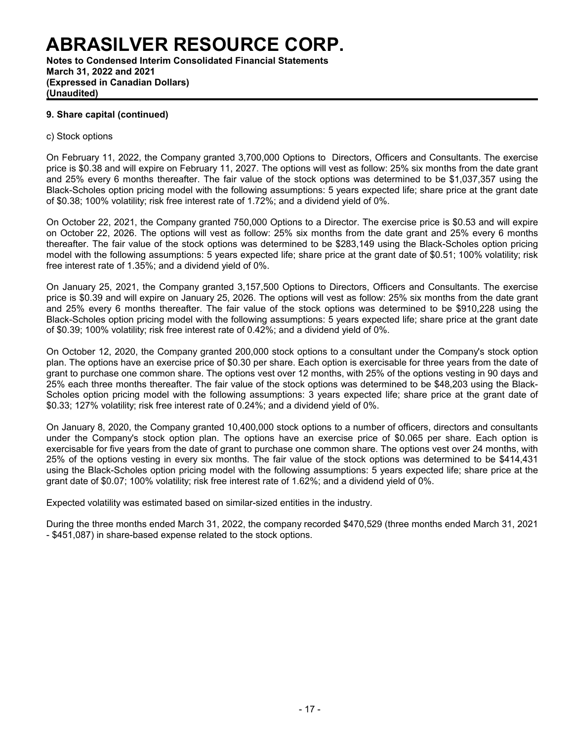**Notes to Condensed Interim Consolidated Financial Statements March 31, 2022 and 2021 (Expressed in Canadian Dollars) (Unaudited)**

### **9. Share capital (continued)**

### c) Stock options

On February 11, 2022, the Company granted 3,700,000 Options to Directors, Officers and Consultants. The exercise price is \$0.38 and will expire on February 11, 2027. The options will vest as follow: 25% six months from the date grant and 25% every 6 months thereafter. The fair value of the stock options was determined to be \$1,037,357 using the Black-Scholes option pricing model with the following assumptions: 5 years expected life; share price at the grant date of \$0.38; 100% volatility; risk free interest rate of 1.72%; and a dividend yield of 0%.

On October 22, 2021, the Company granted 750,000 Options to a Director. The exercise price is \$0.53 and will expire on October 22, 2026. The options will vest as follow: 25% six months from the date grant and 25% every 6 months thereafter. The fair value of the stock options was determined to be \$283,149 using the Black-Scholes option pricing model with the following assumptions: 5 years expected life; share price at the grant date of \$0.51; 100% volatility; risk free interest rate of 1.35%; and a dividend yield of 0%.

On January 25, 2021, the Company granted 3,157,500 Options to Directors, Officers and Consultants. The exercise price is \$0.39 and will expire on January 25, 2026. The options will vest as follow: 25% six months from the date grant and 25% every 6 months thereafter. The fair value of the stock options was determined to be \$910,228 using the Black-Scholes option pricing model with the following assumptions: 5 years expected life; share price at the grant date of \$0.39; 100% volatility; risk free interest rate of 0.42%; and a dividend yield of 0%.

On October 12, 2020, the Company granted 200,000 stock options to a consultant under the Company's stock option plan. The options have an exercise price of \$0.30 per share. Each option is exercisable for three years from the date of grant to purchase one common share. The options vest over 12 months, with 25% of the options vesting in 90 days and 25% each three months thereafter. The fair value of the stock options was determined to be \$48,203 using the Black-Scholes option pricing model with the following assumptions: 3 years expected life; share price at the grant date of \$0.33; 127% volatility; risk free interest rate of 0.24%; and a dividend yield of 0%.

On January 8, 2020, the Company granted 10,400,000 stock options to a number of officers, directors and consultants under the Company's stock option plan. The options have an exercise price of \$0.065 per share. Each option is exercisable for five years from the date of grant to purchase one common share. The options vest over 24 months, with 25% of the options vesting in every six months. The fair value of the stock options was determined to be \$414,431 using the Black-Scholes option pricing model with the following assumptions: 5 years expected life; share price at the grant date of \$0.07; 100% volatility; risk free interest rate of 1.62%; and a dividend yield of 0%.

Expected volatility was estimated based on similar-sized entities in the industry.

During the three months ended March 31, 2022, the company recorded \$470,529 (three months ended March 31, 2021 - \$451,087) in share-based expense related to the stock options.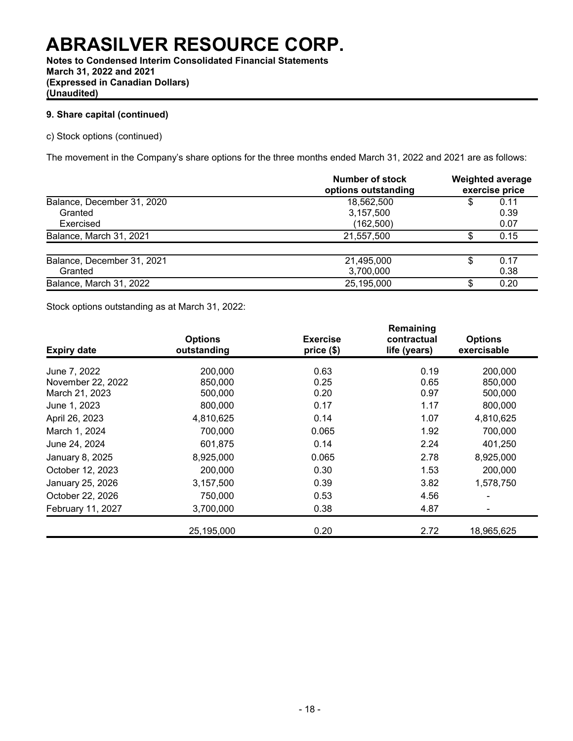**Notes to Condensed Interim Consolidated Financial Statements March 31, 2022 and 2021 (Expressed in Canadian Dollars) (Unaudited)**

### **9. Share capital (continued)**

c) Stock options (continued)

The movement in the Company's share options for the three months ended March 31, 2022 and 2021 are as follows:

|                            | Number of stock<br>options outstanding | <b>Weighted average</b><br>exercise price |      |  |
|----------------------------|----------------------------------------|-------------------------------------------|------|--|
| Balance, December 31, 2020 | 18,562,500                             | \$                                        | 0.11 |  |
| Granted                    | 3,157,500                              |                                           | 0.39 |  |
| Exercised                  | (162, 500)                             |                                           | 0.07 |  |
| Balance, March 31, 2021    | 21,557,500                             |                                           | 0.15 |  |
| Balance, December 31, 2021 | 21,495,000                             | \$                                        | 0.17 |  |
| Granted                    | 3,700,000                              |                                           | 0.38 |  |
| Balance, March 31, 2022    | 25,195,000                             | S                                         | 0.20 |  |

Stock options outstanding as at March 31, 2022:

| <b>Expiry date</b> | <b>Options</b><br>outstanding | <b>Exercise</b><br>price (\$) | Remaining<br>contractual<br>life (years) | <b>Options</b><br>exercisable |
|--------------------|-------------------------------|-------------------------------|------------------------------------------|-------------------------------|
| June 7, 2022       | 200,000                       | 0.63                          | 0.19                                     | 200,000                       |
| November 22, 2022  | 850,000                       | 0.25                          | 0.65                                     | 850,000                       |
| March 21, 2023     | 500,000                       | 0.20                          | 0.97                                     | 500,000                       |
| June 1, 2023       | 800,000                       | 0.17                          | 1.17                                     | 800,000                       |
| April 26, 2023     | 4,810,625                     | 0.14                          | 1.07                                     | 4,810,625                     |
| March 1, 2024      | 700,000                       | 0.065                         | 1.92                                     | 700,000                       |
| June 24, 2024      | 601,875                       | 0.14                          | 2.24                                     | 401,250                       |
| January 8, 2025    | 8,925,000                     | 0.065                         | 2.78                                     | 8,925,000                     |
| October 12, 2023   | 200,000                       | 0.30                          | 1.53                                     | 200,000                       |
| January 25, 2026   | 3,157,500                     | 0.39                          | 3.82                                     | 1,578,750                     |
| October 22, 2026   | 750,000                       | 0.53                          | 4.56                                     |                               |
| February 11, 2027  | 3,700,000                     | 0.38                          | 4.87                                     |                               |
|                    | 25,195,000                    | 0.20                          | 2.72                                     | 18,965,625                    |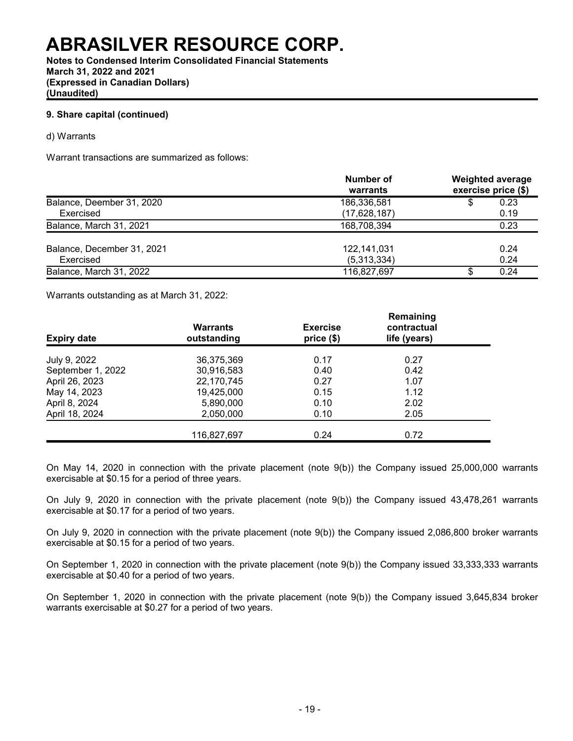**Notes to Condensed Interim Consolidated Financial Statements March 31, 2022 and 2021 (Expressed in Canadian Dollars) (Unaudited)**

### **9. Share capital (continued)**

d) Warrants

Warrant transactions are summarized as follows:

|                            | Number of<br>warrants | <b>Weighted average</b><br>exercise price (\$) |      |  |
|----------------------------|-----------------------|------------------------------------------------|------|--|
| Balance, Deember 31, 2020  | 186,336,581           | S                                              | 0.23 |  |
| Exercised                  | (17,628,187)          |                                                | 0.19 |  |
| Balance, March 31, 2021    | 168,708,394           |                                                | 0.23 |  |
| Balance, December 31, 2021 | 122,141,031           |                                                | 0.24 |  |
| Exercised                  | (5,313,334)           |                                                | 0.24 |  |
| Balance, March 31, 2022    | 116,827,697           | S                                              | 0.24 |  |

Warrants outstanding as at March 31, 2022:

| <b>Expiry date</b> | <b>Warrants</b><br>outstanding | <b>Exercise</b><br>price(\$) | Remaining<br>contractual<br>life (years) |  |
|--------------------|--------------------------------|------------------------------|------------------------------------------|--|
| July 9, 2022       | 36,375,369                     | 0.17                         | 0.27                                     |  |
| September 1, 2022  | 30,916,583                     | 0.40                         | 0.42                                     |  |
| April 26, 2023     | 22,170,745                     | 0.27                         | 1.07                                     |  |
| May 14, 2023       | 19,425,000                     | 0.15                         | 1.12                                     |  |
| April 8, 2024      | 5,890,000                      | 0.10                         | 2.02                                     |  |
| April 18, 2024     | 2,050,000                      | 0.10                         | 2.05                                     |  |
|                    | 116,827,697                    | 0.24                         | 0.72                                     |  |

On May 14, 2020 in connection with the private placement (note 9(b)) the Company issued 25,000,000 warrants exercisable at \$0.15 for a period of three years.

On July 9, 2020 in connection with the private placement (note 9(b)) the Company issued 43,478,261 warrants exercisable at \$0.17 for a period of two years.

On July 9, 2020 in connection with the private placement (note 9(b)) the Company issued 2,086,800 broker warrants exercisable at \$0.15 for a period of two years.

On September 1, 2020 in connection with the private placement (note 9(b)) the Company issued 33,333,333 warrants exercisable at \$0.40 for a period of two years.

On September 1, 2020 in connection with the private placement (note 9(b)) the Company issued 3,645,834 broker warrants exercisable at \$0.27 for a period of two years.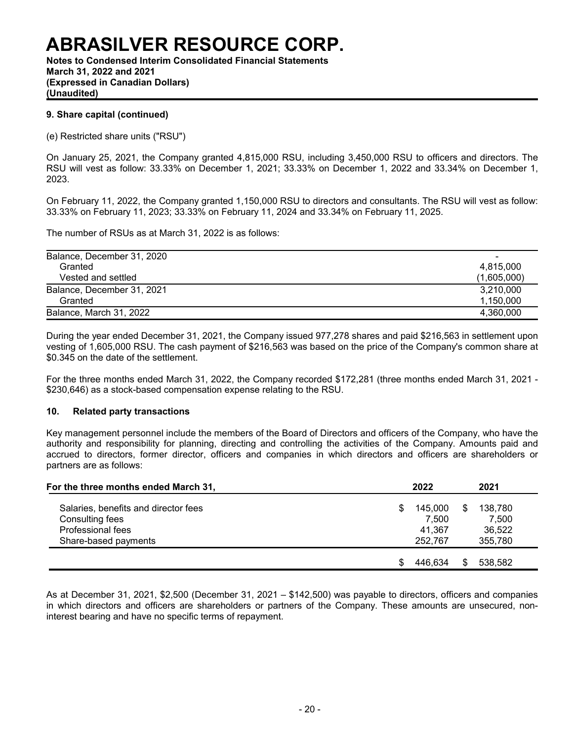**Notes to Condensed Interim Consolidated Financial Statements March 31, 2022 and 2021 (Expressed in Canadian Dollars) (Unaudited)**

### **9. Share capital (continued)**

(e) Restricted share units ("RSU")

On January 25, 2021, the Company granted 4,815,000 RSU, including 3,450,000 RSU to officers and directors. The RSU will vest as follow: 33.33% on December 1, 2021; 33.33% on December 1, 2022 and 33.34% on December 1, 2023.

On February 11, 2022, the Company granted 1,150,000 RSU to directors and consultants. The RSU will vest as follow: 33.33% on February 11, 2023; 33.33% on February 11, 2024 and 33.34% on February 11, 2025.

The number of RSUs as at March 31, 2022 is as follows:

| Balance, December 31, 2020 | $\overline{\phantom{0}}$ |
|----------------------------|--------------------------|
| Granted                    | 4.815.000                |
| Vested and settled         | (1.605.000)              |
| Balance, December 31, 2021 | 3,210,000                |
| Granted                    | 1.150.000                |
| Balance, March 31, 2022    | 4.360.000                |

During the year ended December 31, 2021, the Company issued 977,278 shares and paid \$216,563 in settlement upon vesting of 1,605,000 RSU. The cash payment of \$216,563 was based on the price of the Company's common share at \$0.345 on the date of the settlement.

For the three months ended March 31, 2022, the Company recorded \$172,281 (three months ended March 31, 2021 - \$230,646) as a stock-based compensation expense relating to the RSU.

### **10. Related party transactions**

Key management personnel include the members of the Board of Directors and officers of the Company, who have the authority and responsibility for planning, directing and controlling the activities of the Company. Amounts paid and accrued to directors, former director, officers and companies in which directors and officers are shareholders or partners are as follows:

| For the three months ended March 31,                    | 2022                   | 2021 |                  |  |
|---------------------------------------------------------|------------------------|------|------------------|--|
| Salaries, benefits and director fees<br>Consulting fees | \$<br>145.000<br>7.500 | S    | 138.780<br>7.500 |  |
| Professional fees                                       | 41,367                 |      | 36,522           |  |
| Share-based payments                                    | 252.767                |      | 355,780          |  |
|                                                         | 446.634                |      | 538,582          |  |

As at December 31, 2021, \$2,500 (December 31, 2021 – \$142,500) was payable to directors, officers and companies in which directors and officers are shareholders or partners of the Company. These amounts are unsecured, noninterest bearing and have no specific terms of repayment.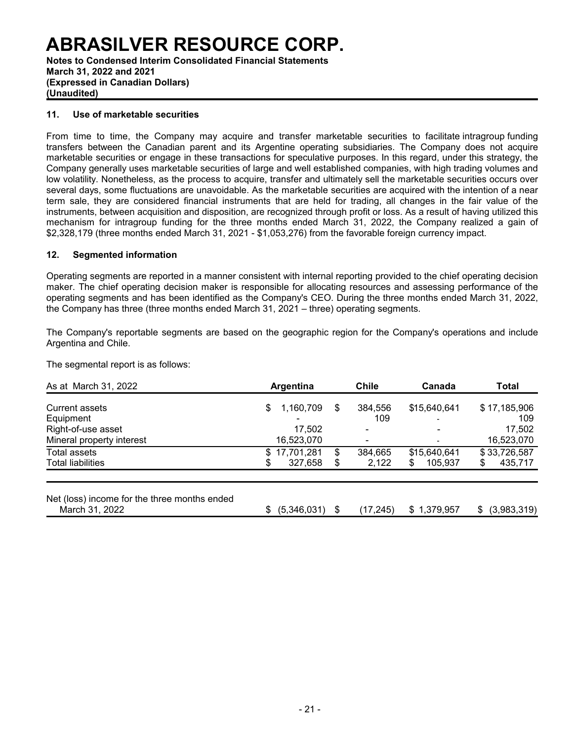**Notes to Condensed Interim Consolidated Financial Statements March 31, 2022 and 2021 (Expressed in Canadian Dollars) (Unaudited)**

### **11. Use of marketable securities**

From time to time, the Company may acquire and transfer marketable securities to facilitate intragroup funding transfers between the Canadian parent and its Argentine operating subsidiaries. The Company does not acquire marketable securities or engage in these transactions for speculative purposes. In this regard, under this strategy, the Company generally uses marketable securities of large and well established companies, with high trading volumes and low volatility. Nonetheless, as the process to acquire, transfer and ultimately sell the marketable securities occurs over several days, some fluctuations are unavoidable. As the marketable securities are acquired with the intention of a near term sale, they are considered financial instruments that are held for trading, all changes in the fair value of the instruments, between acquisition and disposition, are recognized through profit or loss. As a result of having utilized this mechanism for intragroup funding for the three months ended March 31, 2022, the Company realized a gain of \$2,328,179 (three months ended March 31, 2021 - \$1,053,276) from the favorable foreign currency impact.

### **12. Segmented information**

Operating segments are reported in a manner consistent with internal reporting provided to the chief operating decision maker. The chief operating decision maker is responsible for allocating resources and assessing performance of the operating segments and has been identified as the Company's CEO. During the three months ended March 31, 2022, the Company has three (three months ended March 31, 2021 – three) operating segments.

The Company's reportable segments are based on the geographic region for the Company's operations and include Argentina and Chile.

The segmental report is as follows:

| As at March 31, 2022                                           |   | Argentina    |    | <b>Chile</b> | Canada         | Total             |
|----------------------------------------------------------------|---|--------------|----|--------------|----------------|-------------------|
| <b>Current assets</b>                                          | S | 1,160,709    | S  | 384,556      | \$15,640,641   | \$17,185,906      |
| Equipment                                                      |   |              |    | 109          | $\overline{a}$ | 109               |
| Right-of-use asset                                             |   | 17,502       |    |              |                | 17,502            |
| Mineral property interest                                      |   | 16,523,070   |    |              |                | 16,523,070        |
| Total assets                                                   |   | \$17,701,281 | \$ | 384,665      | \$15,640,641   | \$33,726,587      |
| <b>Total liabilities</b>                                       | S | 327,658      | \$ | 2,122        | 105,937<br>S   | \$<br>435,717     |
| Net (loss) income for the three months ended<br>March 31, 2022 |   | (5,346,031)  | S  | (17, 245)    | \$1,379,957    | (3,983,319)<br>S. |